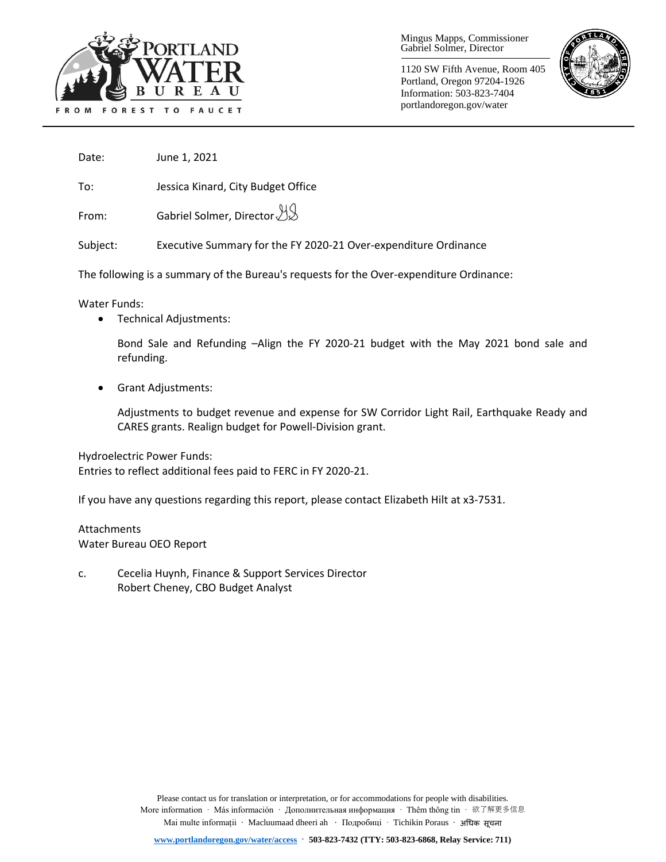

Mingus Mapps, Commissioner Gabriel Solmer, Director

1120 SW Fifth Avenue, Room 405 Portland, Oregon 97204-1926 Information: 503-823-7404 portlandoregon.gov/water



Date: June 1, 2021

To: Jessica Kinard, City Budget Office

From: Gabriel Solmer, Director

Subject: Executive Summary for the FY 2020-21 Over-expenditure Ordinance

The following is a summary of the Bureau's requests for the Over-expenditure Ordinance:

Water Funds:

• Technical Adjustments:

Bond Sale and Refunding –Align the FY 2020-21 budget with the May 2021 bond sale and refunding.

• Grant Adjustments:

Adjustments to budget revenue and expense for SW Corridor Light Rail, Earthquake Ready and CARES grants. Realign budget for Powell-Division grant.

Hydroelectric Power Funds:

Entries to reflect additional fees paid to FERC in FY 2020-21.

If you have any questions regarding this report, please contact Elizabeth Hilt at x3-7531.

# **Attachments** Water Bureau OEO Report

c. Cecelia Huynh, Finance & Support Services Director Robert Cheney, CBO Budget Analyst